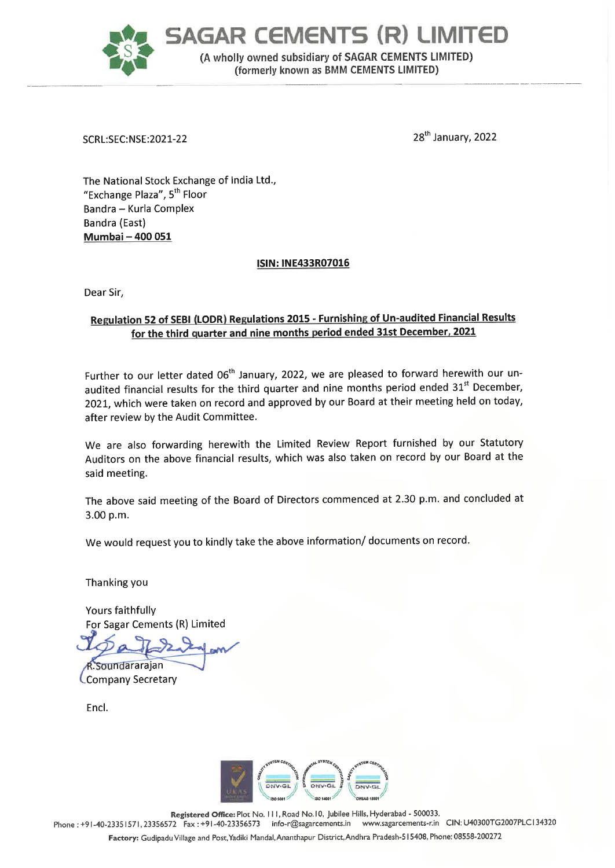

SCRL:SEC:NSE:2021-22 28" January, 2022

The National Stock Exchange of India Ltd., "Exchange Plaza", 5" Floor Bandra - Kurla Complex Bandra (East) Mumbai - 400 051

# ISIN: INE433R07016

Dear Sir,

# Regulation 52 of SEBI (LODR) Regulations 2015 - Furnishing of Un-audited Financial Results for the third quarter and nine months period ended 31st December, 2021

Further to our letter dated 06<sup>th</sup> January, 2022, we are pleased to forward herewith our unaudited financial results for the third quarter and nine months period ended 31<sup>st</sup> December, 2021, which were taken on record and approved by our Board at their meeting held on today, after review by the Audit Committee.

We are also forwarding herewith the Limited Review Report furnished by our Statutory Auditors on the above financial results, which was also taken on record by our Board at the said meeting.

The above said meeting of the Board of Directors commenced at 2.30 p.m. and concluded at 3.00 p.m.

We would request you to kindly take the above information/ documents on record.

Thanking you

Yours faithfully For Sagar Cements {R) Limited

Soundararajan Company Secretary

Encl.



Registered Office: Plot No. 111, Road No.10, Jubilee Hills, Hyderabad - 500033.<br>72 Fax : +91-40-23356573 info-r@sagarcements.in www.sagarcements-nin CIN: U40300TG2007PLC134320 Phone : +91-40-23351571, 23356572 Fax : +91-40-23356573 info-r@sagarcements.in Factory: Gudipadu Village and Post,Yadiki Mandal, Ananthapur District,Andhra Pradesh-5 15408, Phone: 08558-200272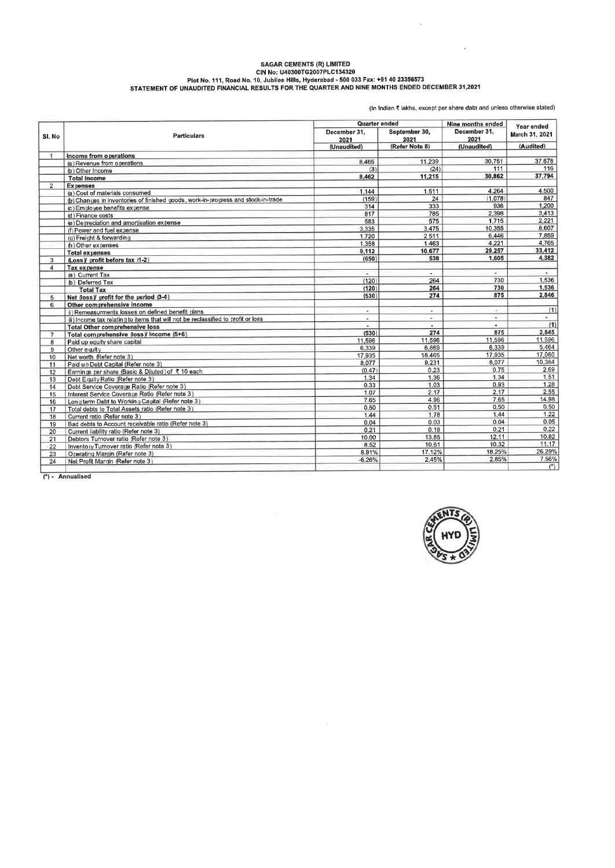# SAGAR CEMENTS (R) LIMITED<br>Plot No. 111, Road No. 10, Jubilee Hills, Hyderabad - 500 033 Fax: +91 40 23356573<br>STATEMENT OF UNAUDITED FINANCIAL RESULTS FOR THE QUARTER AND NINE MONTHS ENDED DECEMBER 31,2021

(In indian lakhs, except per share data and unless otherwise stated)

 $\mathbf{r}$ 

 $\langle \mathbf{w} \rangle$ 

| SI. No              | <b>Particulars</b>                                                                | Quarter ended        |                                         | Nine months ended                   | Year ended                  |
|---------------------|-----------------------------------------------------------------------------------|----------------------|-----------------------------------------|-------------------------------------|-----------------------------|
|                     |                                                                                   | December 31.<br>2021 | September 30,<br>2021<br>(Refer Note 8) | December 31.<br>2021<br>(Unaudited) | March 31, 2021<br>(Audited) |
|                     |                                                                                   | (Unaudited)          |                                         |                                     |                             |
| $\mathbf{1}$        | Income from operations                                                            |                      |                                         |                                     |                             |
|                     | (a) Revenue from operations                                                       | 8.465                | 11.239                                  | 30.751                              | 37.678                      |
|                     | (b) Other Income                                                                  | (3)                  | (24)                                    | 111                                 | 116                         |
|                     | <b>Total income</b>                                                               | 8.462                | 11.215                                  | 30.862                              | 37.794                      |
| $\overline{2}$      | <b>Expenses</b>                                                                   |                      |                                         |                                     |                             |
|                     | (a) Cost of materials consumed                                                    | 1.144                | 1.511                                   | 4.264                               | 4.500                       |
|                     | (b) Changes in inventories of finished goods, work-in-progress and stock-in-trade | (159)                | 24                                      | (1.078)                             | 847                         |
|                     | (c) Employee benefits expense                                                     | 314                  | 333                                     | 936                                 | 1,200                       |
|                     | (d) Finance costs                                                                 | 817                  | 785                                     | 2.398                               | 3,413                       |
|                     | (e) Depreciation and amortisation expense                                         | 583                  | 575                                     | 1,715                               | 2.221                       |
|                     | (f) Power and fuel expense                                                        | 3.335                | 3.475                                   | 10.355                              | 8.607                       |
|                     | (g) Freight & forwarding                                                          | 1.720                | 2,511                                   | 6,446                               | 7.859                       |
|                     | (h) Other expenses                                                                | 1,358                | 1.463                                   | 4.221                               | 4.765                       |
|                     | <b>Total expenses</b>                                                             | 9.112                | 10.677                                  | 29,257                              | 33,412                      |
| 3                   | (Loss)/ profit before tax (1-2)                                                   | (650)                | 538                                     | 1.605                               | 4.382                       |
| 4                   | Tax expense                                                                       |                      |                                         |                                     |                             |
|                     | (a) Current Tax                                                                   |                      | $\overline{\phantom{a}}$                | $\sim$                              | ٠                           |
|                     | (b) Deferred Tax                                                                  | (120)                | 264                                     | 730                                 | 1,536                       |
|                     | <b>Total Tax</b>                                                                  | (120)                | 264                                     | 730                                 | 1.536                       |
| 5                   | Net (loss)/ profit for the period (3-4)                                           | (530)                | 274                                     | 875                                 | 2.846                       |
| 6<br>$\overline{7}$ | Other comprehensive income                                                        |                      |                                         |                                     |                             |
|                     | (i) Remeasurments losses on defined benefit plans                                 | $\sim$               | $\sim$                                  | $\sim$                              | (1)                         |
|                     | (ii) Income tax relating to items that will not be reclassified to profit or loss | $\sim$               | $\sim$                                  | $\overline{\phantom{a}}$            | ٠                           |
|                     | <b>Total Other comprehensive loss</b>                                             |                      | ٠                                       | ×.                                  | (1)                         |
|                     | Total comprehensive (loss)/ income (5+6)                                          | (530)                | 274                                     | 875                                 | 2.845                       |
| 8                   | Paid up equity share capital                                                      | 11,596               | 11.596                                  | 11,596                              | 11.596                      |
| 9                   | Other equity                                                                      | 6.339                | 6.869                                   | 6,339                               | 5.464                       |
| 10                  | Net worth (Refer note 3)                                                          | 17.935               | 18.465                                  | 17.935                              | 17,060                      |
| 11                  | Paid up Debt Capital (Refer note 3)                                               | 8.077                | 9.231                                   | 8.077                               | 10,384                      |
| 12                  | Earnings per share (Basic & Diluted) of ₹10 each                                  | (0.47)               | 0.23                                    | 0.75                                | 2.69                        |
| 13                  | Debt Equity Ratio (Refer note 3)                                                  | 1.34                 | 1.36                                    | 1.34                                | 1.51                        |
| 14                  | Debt Service Coverage Ratio (Refer note 3)                                        | 0.33                 | 1.03                                    | 0.93                                | 1.28                        |
| 15                  | Interest Service Coverage Ratio (Refer note 3)                                    | 1.07                 | 2.17                                    | 2.17                                | 2.55                        |
| 16                  | Long term Debt to Working Capital (Refer note 3)                                  | 7.65                 | 4.96                                    | 7.65                                | 14.98                       |
| 17                  | Total debts to Total Assets ratio (Refer note 3)                                  | 0.50                 | 0.51                                    | $0.50 -$                            | 0.50                        |
| 18                  | Current ratio (Refer note 3)                                                      | 1.44                 | 1.78                                    | 1.44                                | 1.22                        |
| 19                  | Bad debts to Account receivable ratio (Refer note 3)                              | 0.04                 | 0.03                                    | 0.04                                | 0.05                        |
| 20                  | Current liability ratio (Refer note 3)                                            | 0.21                 | 0.18                                    | 0.21                                | 0.22                        |
| 21                  | Debtors Turnover ratio (Refer note 3)                                             | 10.00                | 13.85                                   | 12.11                               | 10.82                       |
| 22                  | Inventory Turnover ratio (Refer note 3)                                           | 8.52                 | 10.61                                   | 10.32                               | 11.17                       |
| 23                  | Operating Margin (Refer note 3)                                                   | 8.91%                | 17.12%                                  | 18.25%                              | 26.29%                      |
| 24                  | Net Profit Margin (Refer note 3)                                                  | $-6.26%$             | 2.45%                                   | 2.85%                               | 7.56%                       |
|                     |                                                                                   |                      |                                         |                                     | $\langle \cdot \rangle$     |

 $\sim$ 

(\*)- Annualised

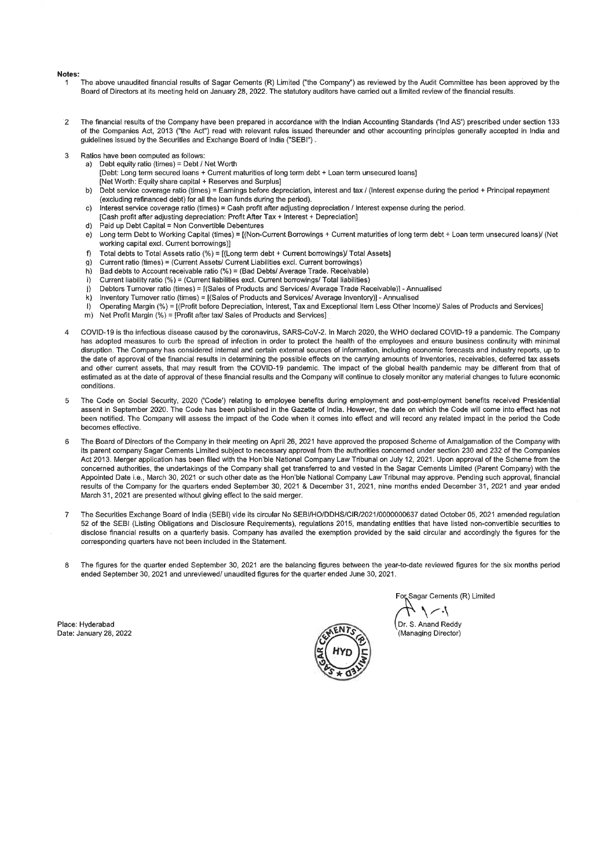#### **Notes**

- The above unaudited financial results of Sagar Cements (R) Limited ("the Company") as reviewed by the Audit Committee has been approved by the 1 Board of Directors at its meeting held on January 28, 2022. The statutory auditors have carried out a limited review of the financial results.
- The financial results of the Company have been prepared in accordance with the Indian Accounting Standards (Ind AS') prescribed under section 133  $\overline{2}$ of the Companies Act, 2013 ("the Act") read with relevant rules issued thereunder and other accounting principles generally accepted in India and guidelines issued by the Securities and Exchange Board of India ("SEBI").
- Ratios have been computed as follows: 3
	- a) Debt equity ratio (times) = Debt / Net Worth
		- [Debt: Long term secured loans + Current maturities of long term debt + Loan term unsecured loans]
		- [Net Worth: Equity share capital + Reserves and Surplus]
	- b) Debt service coverage ratio (times) = Earnings before depreciation, interest and tax / (Interest expense during the period + Principal repayment (excluding refinanced debt) for all the loan funds during the period).
	- c) Interest service coverage ratio (times) = Cash profit after adjusting depreciation / Interest expense during the period.
	- [Cash profit after adjusting depreciation: Profit After Tax + Interest + Depreciation]
	- d) Paid up Debt Capital = Non Convertible Debentures
	- e) Long term Debt to Working Capital (times) = [(Non-Current Borrowings + Current maturities of long term debt + Loan term unsecured loans)/ (Net working capital excl. Current borrowings)]
	- f) Total debts to Total Assets ratio (%) = [(Long term debt + Current borrowings)/ Total Assets]<br>g) Current ratio (times) = (Current Assets/ Current Liabilities excl. Current borrowings)
	- g) Current ratio (times) = (Current Assets/ Current Liabilities excl. Current borrowings)<br>b) Bad debts to Account receivable ratio (%) = (Bad Debts/ Average Trade. Receivabl
	- Bad debts to Account receivable ratio (%) = (Bad Debts/ Average Trade. Receivable)
	- i) Current liability ratio (%) = (Current liabilities excl. Current borrowings/ Total liabilities)<br>i) Debtors Turnover ratio (times) = [(Sales of Products and Services/ Average Trade Re
	- j) Debtors Turnover ratio (times) = [(Sales of Products and Services/ Average Trade Receivable)] Annualised<br>k) Inventory Turnover ratio (times) = [(Sales of Products and Services/ Average Inventory)] Annualised
	- k) Inventory Turnover ratio (times) = [(Sales of Products and Services/ Average Inventory)] Annualised<br>I) Operating Margin (%) = [(Profit before Depreciation, Interest, Tax and Exceptional Item Less Other Inc
	- I) Operating Margin (%) = [(Profit before Depreciation, Interest, Tax and Exceptional Item Less Other Income)/ Sales of Products and Services]<br>m) Net Profit Margin (%) = [Profit after tax/ Sales of Products and Services]
	- Net Profit Margin  $(\%)$  = [Profit after tax/ Sales of Products and Services]
- $\Delta$ COVID-19 is the infectious disease caused by the coronavirus, SARS-CoV-2. In March 2020, the WHO declared COVID-19 pandemic. The Company has adopted measures to curb the spread of infection in order to protect the health of the employees and ensure business continuity with minimal disruption. The Company has considered internal and certain external sources of nformation, including economic forecasts and industry reports, up to the date of approval of the financial results in determining the possible effects on the carrying amounts of Inventories, receivables, deferred tax assets and other current assets, that may result from the COVID-19 pandemic. The impact of the global health pandemic may be different from that of estimated as at the date of approval of these financial results and the Company will continue to closely monitor any material changes to future economic conditions.
- The Code on Social Security, 2020 ('Code') relating to employee benefits during employment and post-employment benefits received Presidential  $\overline{5}$ assent in September 2020. The Code has been published in the Gazette of India. However, the date on which the Code will come into effect has not been notified. The Company will assess the impact of the Code when it comes into effect and will record any related impact in the period the Code becomes effective.
- $\boldsymbol{\kappa}$ The Board of Directors of the Company in their meeting on April 26, 2021 have approved the proposed Scheme of Amalgamation of the Company with its parent company Sagar Cements Limited subject to necessary approval from the authorities concerned under section 230 and 232 of the Companies Act 2013. Merger application has been filed with the Hon'ble National Company Law Tribunal on July 12, 2021. Upon approval of the Scheme from the concerned authorities, the undertakings of the Company shall get transferred to and vested in the Sagar Cements Limited (Parent Company) with the Appointed Date i.e., March 30, 2021 or such other date as the Hon'ble National Company Law Tribunal may approve. Pending such approval, financial results of the Company for the quarters ended September 30, 2021 & December 31, 2021, nine months ended December 31, 2021 and year ended March 31, 2021 are presented without giving effect to the said merger.
- $\overline{7}$ The Securities Exchange Board of India (SEBI) vide its circular No SEB/HO/DDHS/CIR/2021/0000000637 dated October 05, 2021 amended regulation 52 ofthe SEBI (Listing Obligations and Disclosure Requirements), regulations 2015, mandating entities that have listed non-convertible securities to disclose financial results on a quarterly basis. Company has availed the exemption provided by the said circular and accordingly the figures for the corresponding quarters have not been included in the Statement.
- 8 The figures for the quarter ended September 30, 2021 are the balancing figures between the year-to-date reviewed figures for the six months period ended September 30, 2021 and unreviewed/ unaudited figures for the quarter ended June 30, 2021.

Place: Hyderabad Date: January 28, 2022



Sagar Cements (R) Limited

Dr. S. Anand Reddy (Managing Director)